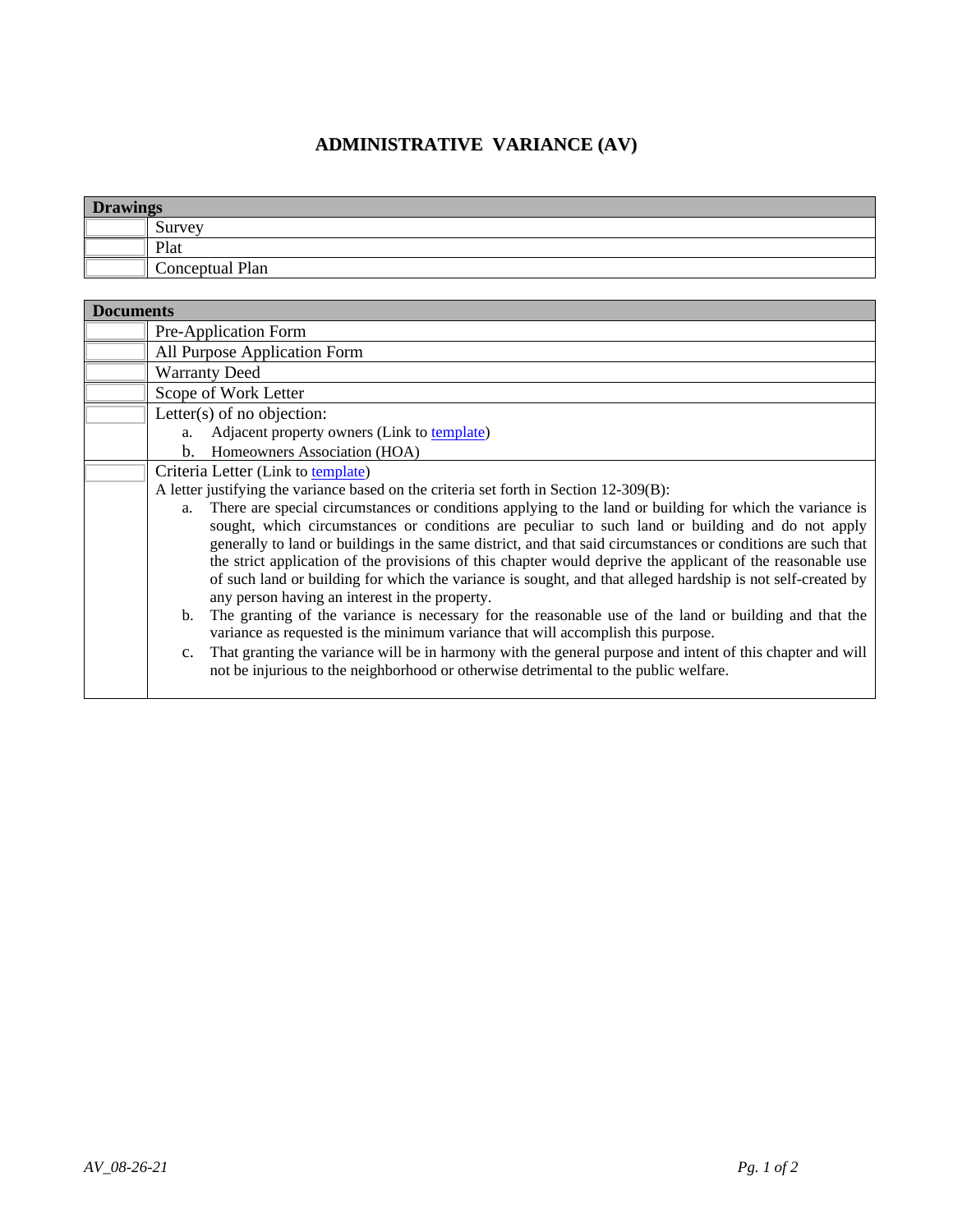## **ADMINISTRATIVE VARIANCE (AV)**

| <b>Drawings</b> |                        |  |
|-----------------|------------------------|--|
|                 | $\mathbf{C}$<br>Survey |  |
|                 | Plat                   |  |
|                 | Conceptual Plan        |  |

| <b>Documents</b> |                                                                                                                                                                                                                                                                                                                                                                                                                                                                                                                                                                                                                                                                                                                                                                                                                                                                                                                                    |  |
|------------------|------------------------------------------------------------------------------------------------------------------------------------------------------------------------------------------------------------------------------------------------------------------------------------------------------------------------------------------------------------------------------------------------------------------------------------------------------------------------------------------------------------------------------------------------------------------------------------------------------------------------------------------------------------------------------------------------------------------------------------------------------------------------------------------------------------------------------------------------------------------------------------------------------------------------------------|--|
|                  | Pre-Application Form                                                                                                                                                                                                                                                                                                                                                                                                                                                                                                                                                                                                                                                                                                                                                                                                                                                                                                               |  |
|                  | All Purpose Application Form                                                                                                                                                                                                                                                                                                                                                                                                                                                                                                                                                                                                                                                                                                                                                                                                                                                                                                       |  |
|                  | <b>Warranty Deed</b>                                                                                                                                                                                                                                                                                                                                                                                                                                                                                                                                                                                                                                                                                                                                                                                                                                                                                                               |  |
|                  | Scope of Work Letter                                                                                                                                                                                                                                                                                                                                                                                                                                                                                                                                                                                                                                                                                                                                                                                                                                                                                                               |  |
|                  | Letter $(s)$ of no objection:                                                                                                                                                                                                                                                                                                                                                                                                                                                                                                                                                                                                                                                                                                                                                                                                                                                                                                      |  |
|                  | Adjacent property owners (Link to template)<br>a.                                                                                                                                                                                                                                                                                                                                                                                                                                                                                                                                                                                                                                                                                                                                                                                                                                                                                  |  |
|                  | Homeowners Association (HOA)<br>b.                                                                                                                                                                                                                                                                                                                                                                                                                                                                                                                                                                                                                                                                                                                                                                                                                                                                                                 |  |
|                  | Criteria Letter (Link to template)                                                                                                                                                                                                                                                                                                                                                                                                                                                                                                                                                                                                                                                                                                                                                                                                                                                                                                 |  |
|                  | A letter justifying the variance based on the criteria set forth in Section 12-309(B):                                                                                                                                                                                                                                                                                                                                                                                                                                                                                                                                                                                                                                                                                                                                                                                                                                             |  |
|                  | There are special circumstances or conditions applying to the land or building for which the variance is<br>a.<br>sought, which circumstances or conditions are peculiar to such land or building and do not apply<br>generally to land or buildings in the same district, and that said circumstances or conditions are such that<br>the strict application of the provisions of this chapter would deprive the applicant of the reasonable use<br>of such land or building for which the variance is sought, and that alleged hardship is not self-created by<br>any person having an interest in the property.<br>b. The granting of the variance is necessary for the reasonable use of the land or building and that the<br>variance as requested is the minimum variance that will accomplish this purpose.<br>c. That granting the variance will be in harmony with the general purpose and intent of this chapter and will |  |
|                  | not be injurious to the neighborhood or otherwise detrimental to the public welfare.                                                                                                                                                                                                                                                                                                                                                                                                                                                                                                                                                                                                                                                                                                                                                                                                                                               |  |